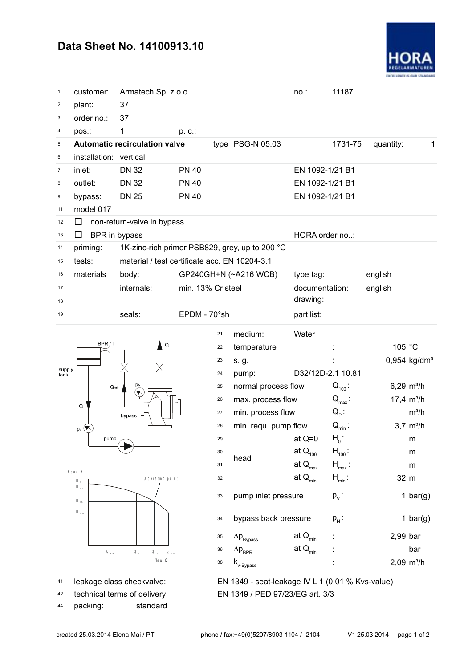## **Data Sheet No. 14100913.10**



| $\mathbf{1}$            | customer:                                     | Armatech Sp. z o.o.                                                                        |              |                                            |                                                  | $no.$ :                  | 11187                           |           |                          |  |  |  |
|-------------------------|-----------------------------------------------|--------------------------------------------------------------------------------------------|--------------|--------------------------------------------|--------------------------------------------------|--------------------------|---------------------------------|-----------|--------------------------|--|--|--|
| $\overline{c}$          | plant:                                        | 37                                                                                         |              |                                            |                                                  |                          |                                 |           |                          |  |  |  |
| 3                       | order no.:                                    | 37                                                                                         |              |                                            |                                                  |                          |                                 |           |                          |  |  |  |
| $\overline{\mathbf{4}}$ | pos.:                                         | 1                                                                                          | p. c.:       |                                            |                                                  |                          |                                 |           |                          |  |  |  |
| 5                       |                                               | <b>Automatic recirculation valve</b>                                                       |              |                                            | type $PSG-N$ 05.03                               |                          | 1731-75                         | quantity: | $\mathbf{1}$             |  |  |  |
| 6                       | installation: vertical                        |                                                                                            |              |                                            |                                                  |                          |                                 |           |                          |  |  |  |
| $\boldsymbol{7}$        | inlet:                                        | <b>DN 32</b>                                                                               | <b>PN 40</b> |                                            |                                                  | EN 1092-1/21 B1          |                                 |           |                          |  |  |  |
| 8                       | outlet:                                       | <b>DN 32</b>                                                                               | <b>PN 40</b> |                                            |                                                  | EN 1092-1/21 B1          |                                 |           |                          |  |  |  |
| 9                       | bypass:                                       | <b>DN 25</b>                                                                               | <b>PN 40</b> |                                            |                                                  | EN 1092-1/21 B1          |                                 |           |                          |  |  |  |
| 11                      | model 017                                     |                                                                                            |              |                                            |                                                  |                          |                                 |           |                          |  |  |  |
| 12                      | ப                                             | non-return-valve in bypass                                                                 |              |                                            |                                                  |                          |                                 |           |                          |  |  |  |
| 13                      | BPR in bypass<br>$\Box$                       |                                                                                            |              |                                            |                                                  | HORA order no:           |                                 |           |                          |  |  |  |
| 14                      | priming:                                      | 1K-zinc-rich primer PSB829, grey, up to 200 °C                                             |              |                                            |                                                  |                          |                                 |           |                          |  |  |  |
| 15                      | tests:                                        | material / test certificate acc. EN 10204-3.1                                              |              |                                            |                                                  |                          |                                 |           |                          |  |  |  |
| 16                      | materials                                     | body:                                                                                      |              | GP240GH+N (~A216 WCB)<br>min. 13% Cr steel |                                                  |                          |                                 | english   |                          |  |  |  |
| 17                      |                                               | internals:                                                                                 |              |                                            |                                                  |                          | documentation:                  |           |                          |  |  |  |
| 18                      |                                               |                                                                                            |              |                                            |                                                  | drawing:                 |                                 |           |                          |  |  |  |
| 19                      |                                               | seals:                                                                                     |              | EPDM - 70°sh                               |                                                  |                          |                                 |           |                          |  |  |  |
|                         |                                               | Q<br>pм<br>bypass                                                                          |              | 21                                         | medium:                                          | Water                    |                                 |           |                          |  |  |  |
| supply<br>tank          | BPR/T                                         |                                                                                            |              | 22                                         | temperature                                      |                          |                                 | 105 °C    |                          |  |  |  |
|                         |                                               |                                                                                            |              | 23                                         |                                                  |                          |                                 |           | 0,954 kg/dm <sup>3</sup> |  |  |  |
|                         |                                               |                                                                                            |              | 24                                         | s. g.                                            | D32/12D-2.1 10.81        |                                 |           |                          |  |  |  |
|                         | $Q_{min}$                                     |                                                                                            |              | 25                                         | pump:                                            |                          | $Q_{100}$ :                     |           | $6,29$ m <sup>3</sup> /h |  |  |  |
|                         |                                               |                                                                                            |              | 26                                         | normal process flow                              |                          |                                 |           | $17,4 \text{ m}^3/h$     |  |  |  |
|                         | Q                                             |                                                                                            |              | 27                                         | max. process flow<br>min. process flow           |                          | $Q_{\text{max}}$ :<br>$Q_{p}$ : |           | $m^3/h$                  |  |  |  |
|                         |                                               |                                                                                            |              | 28                                         |                                                  |                          |                                 |           |                          |  |  |  |
|                         | $p_v(\nabla)$                                 |                                                                                            |              |                                            | min. requ. pump flow                             |                          | $Q_{\min}$ :<br>$H_0$ :         |           | $3,7 \, m^3/h$           |  |  |  |
|                         | pump                                          |                                                                                            |              | 29<br>30                                   |                                                  | at $Q=0$<br>at $Q_{100}$ |                                 |           | ${\sf m}$                |  |  |  |
|                         |                                               |                                                                                            |              |                                            | head                                             |                          | $H_{100}$ :                     |           | m                        |  |  |  |
|                         | head H                                        |                                                                                            |              | 31                                         |                                                  | at $Q_{\text{max}}$      | $H_{\text{max}}$ :              |           | m                        |  |  |  |
|                         | H $_{\rm i}$<br>$H_{\rm min}$                 | O perating point                                                                           |              | 32                                         |                                                  | at $Q_{min}$             | $H_{min}$ :                     | 32 m      |                          |  |  |  |
|                         | $H_{\text{max}}$<br>$\mathsf{H}_{\text{max}}$ | Q,<br>$\mathsf{Q}_{\scriptscriptstyle{-1}01} \qquad \mathsf{Q}_{\scriptscriptstyle{-1}01}$ |              | 33                                         | pump inlet pressure                              |                          | $p_v$ :                         |           | 1 bar(g)                 |  |  |  |
|                         |                                               |                                                                                            |              | 34                                         | bypass back pressure                             |                          | $p_{N}$ :                       |           | 1 bar(g)                 |  |  |  |
|                         |                                               |                                                                                            |              | 35                                         | $\Delta \textsf{p}_{\rm Bypass}$                 | at $\mathsf{Q}_{\min}$   |                                 | 2,99 bar  |                          |  |  |  |
|                         | $\mathbb{Q}_{-n \text{ in }}$                 |                                                                                            |              | 36                                         | $\Delta p_{_{\rm BPR}}$                          | at $\mathsf{Q}_{\min}$   |                                 |           | bar                      |  |  |  |
|                         |                                               | flow Q                                                                                     |              | 38                                         | $\mathsf{k}_{\textsf{v-Bypass}}$                 |                          |                                 |           | $2,09$ m <sup>3</sup> /h |  |  |  |
| 41                      | leakage class checkvalve:                     |                                                                                            |              |                                            | EN 1349 - seat-leakage IV L 1 (0,01 % Kvs-value) |                          |                                 |           |                          |  |  |  |

42 technical terms of delivery:

<sup>44</sup> packing: standard

technical terms of delivery: EN 1349 / PED 97/23/EG art. 3/3